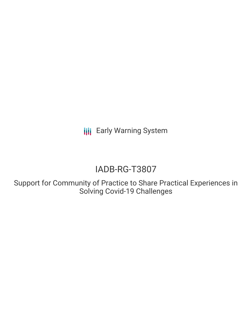**III** Early Warning System

# IADB-RG-T3807

Support for Community of Practice to Share Practical Experiences in Solving Covid-19 Challenges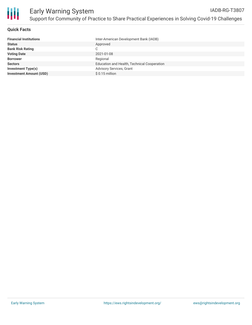

## **Quick Facts**

| Inter-American Development Bank (IADB)      |
|---------------------------------------------|
| Approved                                    |
| С                                           |
| 2021-01-08                                  |
| Regional                                    |
| Education and Health, Technical Cooperation |
| <b>Advisory Services, Grant</b>             |
| $$0.15$ million                             |
|                                             |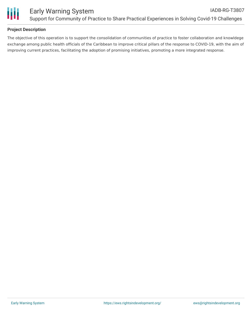

## **Project Description**

The objective of this operation is to support the consolidation of communities of practice to foster collaboration and knowldege exchange among public health officials of the Caribbean to improve critical pillars of the response to COVID-19, with the aim of improving current practices, facilitating the adoption of promising initiatives, promoting a more integrated response.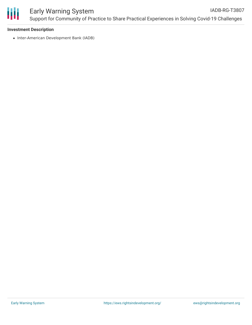

### **Investment Description**

• Inter-American Development Bank (IADB)